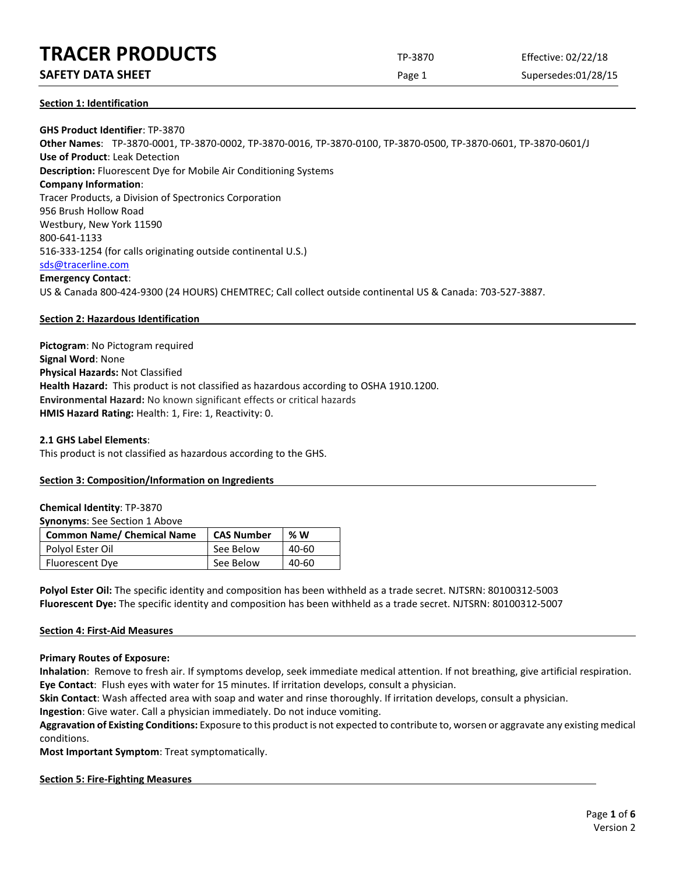## **SAFETY DATA SHEET** SUPERFOUR CONSUMING THE Page 1 Supersedes:01/28/15

## **Section 1: Identification**

**GHS Product Identifier**: TP-3870 **Other Names**: TP-3870-0001, TP-3870-0002, TP-3870-0016, TP-3870-0100, TP-3870-0500, TP-3870-0601, TP-3870-0601/J **Use of Product**: Leak Detection **Description:** Fluorescent Dye for Mobile Air Conditioning Systems **Company Information**: Tracer Products, a Division of Spectronics Corporation 956 Brush Hollow Road Westbury, New York 11590 800-641-1133 516-333-1254 (for calls originating outside continental U.S.) [sds@tracerline.com](mailto:sds@tracerline.com) **Emergency Contact**: US & Canada 800-424-9300 (24 HOURS) CHEMTREC; Call collect outside continental US & Canada: 703-527-3887.

## **Section 2: Hazardous Identification**

**Pictogram**: No Pictogram required **Signal Word**: None **Physical Hazards:** Not Classified **Health Hazard:** This product is not classified as hazardous according to OSHA 1910.1200. **Environmental Hazard:** No known significant effects or critical hazards **HMIS Hazard Rating:** Health: 1, Fire: 1, Reactivity: 0.

#### **2.1 GHS Label Elements**:

This product is not classified as hazardous according to the GHS.

## **Section 3: Composition/Information on Ingredients**

#### **Chemical Identity**: TP-3870

**Synonyms**: See Section 1 Above

| <b>Common Name/ Chemical Name</b> | <b>CAS Number</b> | % W   |
|-----------------------------------|-------------------|-------|
| Polyol Ester Oil                  | See Below         | 40-60 |
| Fluorescent Dye                   | See Below         | 40-60 |

**Polyol Ester Oil:** The specific identity and composition has been withheld as a trade secret. NJTSRN: 80100312-5003 **Fluorescent Dye:** The specific identity and composition has been withheld as a trade secret. NJTSRN: 80100312-5007

## **Section 4: First-Aid Measures**

**Primary Routes of Exposure:**

**Inhalation**: Remove to fresh air. If symptoms develop, seek immediate medical attention. If not breathing, give artificial respiration. **Eye Contact**: Flush eyes with water for 15 minutes. If irritation develops, consult a physician.

**Skin Contact**: Wash affected area with soap and water and rinse thoroughly. If irritation develops, consult a physician.

**Ingestion**: Give water. Call a physician immediately. Do not induce vomiting.

**Aggravation of Existing Conditions:** Exposure to this product is not expected to contribute to, worsen or aggravate any existing medical conditions.

**Most Important Symptom**: Treat symptomatically.

#### **Section 5: Fire-Fighting Measures**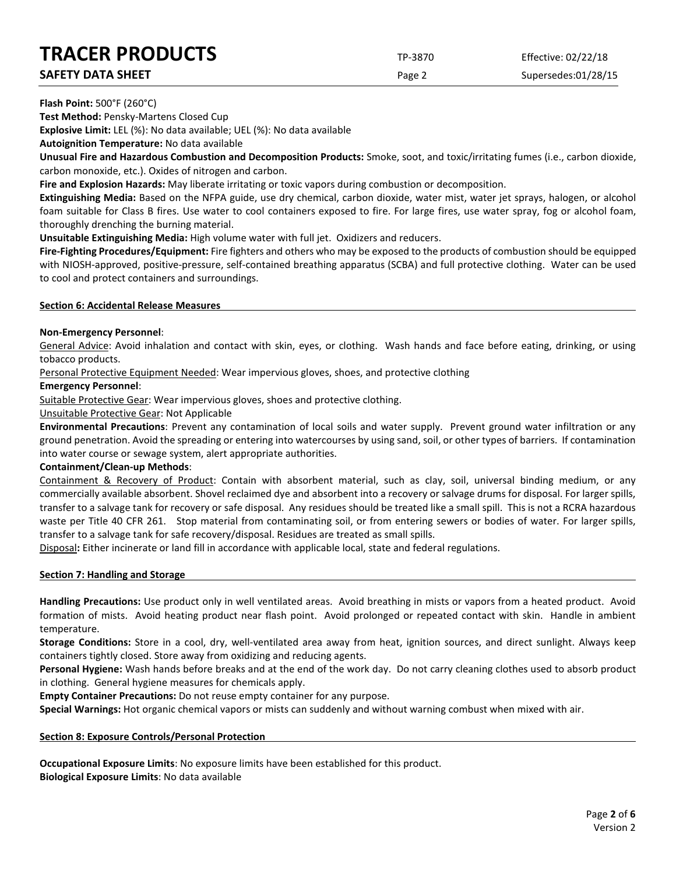**SAFETY DATA SHEET SUPERITY DATA SHEET Page 2** Supersedes:01/28/15

## **Flash Point:** 500°F (260°C)

**Test Method:** Pensky-Martens Closed Cup

**Explosive Limit:** LEL (%): No data available; UEL (%): No data available

**Autoignition Temperature:** No data available

**Unusual Fire and Hazardous Combustion and Decomposition Products:** Smoke, soot, and toxic/irritating fumes (i.e., carbon dioxide, carbon monoxide, etc.). Oxides of nitrogen and carbon.

**Fire and Explosion Hazards:** May liberate irritating or toxic vapors during combustion or decomposition.

**Extinguishing Media:** Based on the NFPA guide, use dry chemical, carbon dioxide, water mist, water jet sprays, halogen, or alcohol foam suitable for Class B fires. Use water to cool containers exposed to fire. For large fires, use water spray, fog or alcohol foam, thoroughly drenching the burning material.

**Unsuitable Extinguishing Media:** High volume water with full jet. Oxidizers and reducers.

**Fire-Fighting Procedures/Equipment:** Fire fighters and others who may be exposed to the products of combustion should be equipped with NIOSH-approved, positive-pressure, self-contained breathing apparatus (SCBA) and full protective clothing. Water can be used to cool and protect containers and surroundings.

## **Section 6: Accidental Release Measures**

## **Non-Emergency Personnel**:

General Advice: Avoid inhalation and contact with skin, eyes, or clothing. Wash hands and face before eating, drinking, or using tobacco products.

Personal Protective Equipment Needed: Wear impervious gloves, shoes, and protective clothing

## **Emergency Personnel**:

Suitable Protective Gear: Wear impervious gloves, shoes and protective clothing.

Unsuitable Protective Gear: Not Applicable

**Environmental Precautions**: Prevent any contamination of local soils and water supply. Prevent ground water infiltration or any ground penetration. Avoid the spreading or entering into watercourses by using sand, soil, or other types of barriers. If contamination into water course or sewage system, alert appropriate authorities.

## **Containment/Clean-up Methods**:

Containment & Recovery of Product: Contain with absorbent material, such as clay, soil, universal binding medium, or any commercially available absorbent. Shovel reclaimed dye and absorbent into a recovery or salvage drums for disposal. For larger spills, transfer to a salvage tank for recovery or safe disposal. Any residues should be treated like a small spill. This is not a RCRA hazardous waste per Title 40 CFR 261. Stop material from contaminating soil, or from entering sewers or bodies of water. For larger spills, transfer to a salvage tank for safe recovery/disposal. Residues are treated as small spills.

Disposal**:** Either incinerate or land fill in accordance with applicable local, state and federal regulations.

## **Section 7: Handling and Storage**

**Handling Precautions:** Use product only in well ventilated areas. Avoid breathing in mists or vapors from a heated product. Avoid formation of mists. Avoid heating product near flash point. Avoid prolonged or repeated contact with skin. Handle in ambient temperature.

**Storage Conditions:** Store in a cool, dry, well-ventilated area away from heat, ignition sources, and direct sunlight. Always keep containers tightly closed. Store away from oxidizing and reducing agents.

**Personal Hygiene:** Wash hands before breaks and at the end of the work day. Do not carry cleaning clothes used to absorb product in clothing. General hygiene measures for chemicals apply.

**Empty Container Precautions:** Do not reuse empty container for any purpose.

**Special Warnings:** Hot organic chemical vapors or mists can suddenly and without warning combust when mixed with air.

## **Section 8: Exposure Controls/Personal Protection**

**Occupational Exposure Limits**: No exposure limits have been established for this product. **Biological Exposure Limits**: No data available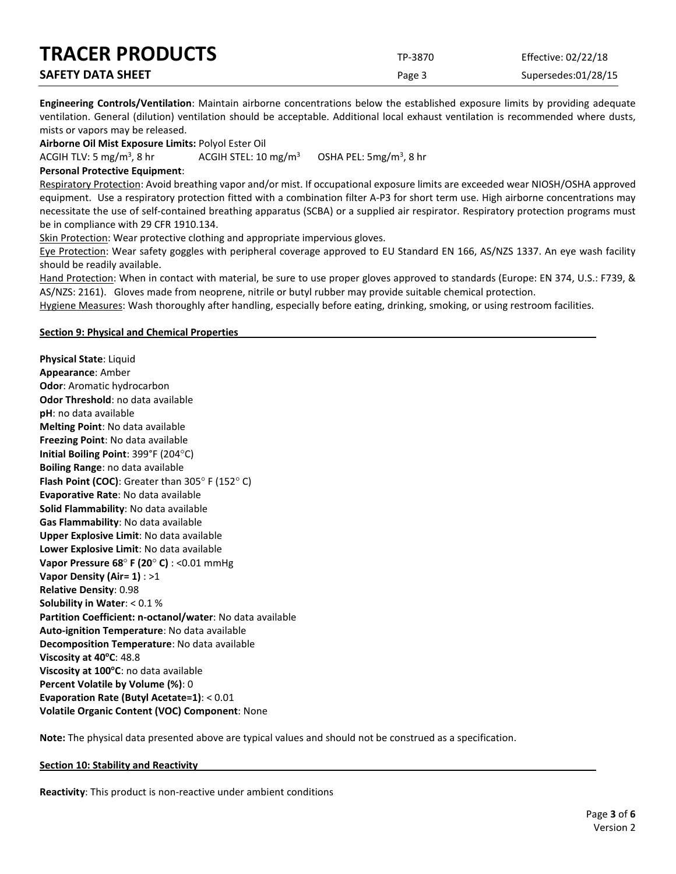| <b>TRACER PRODUCTS</b>   | TP-3870 | Effective: 02/22/18 |
|--------------------------|---------|---------------------|
| <b>SAFETY DATA SHEET</b> | Page 3  | Supersedes:01/28/15 |

**Engineering Controls/Ventilation**: Maintain airborne concentrations below the established exposure limits by providing adequate ventilation. General (dilution) ventilation should be acceptable. Additional local exhaust ventilation is recommended where dusts, mists or vapors may be released.

**Airborne Oil Mist Exposure Limits:** Polyol Ester Oil

ACGIH TLV: 5 mg/m<sup>3</sup>, 8 hr ACGIH STEL:  $10 \text{ mg/m}^3$ OSHA PEL:  $5mg/m<sup>3</sup>$ , 8 hr

#### **Personal Protective Equipment**:

Respiratory Protection: Avoid breathing vapor and/or mist. If occupational exposure limits are exceeded wear NIOSH/OSHA approved equipment. Use a respiratory protection fitted with a combination filter A-P3 for short term use. High airborne concentrations may necessitate the use of self-contained breathing apparatus (SCBA) or a supplied air respirator. Respiratory protection programs must be in compliance with 29 CFR 1910.134.

Skin Protection: Wear protective clothing and appropriate impervious gloves.

Eye Protection: Wear safety goggles with peripheral coverage approved to EU Standard EN 166, AS/NZS 1337. An eye wash facility should be readily available.

Hand Protection: When in contact with material, be sure to use proper gloves approved to standards (Europe: EN 374, U.S.: F739, & AS/NZS: 2161). Gloves made from neoprene, nitrile or butyl rubber may provide suitable chemical protection.

Hygiene Measures: Wash thoroughly after handling, especially before eating, drinking, smoking, or using restroom facilities.

#### **Section 9: Physical and Chemical Properties**

**Physical State**: Liquid **Appearance**: Amber **Odor**: Aromatic hydrocarbon **Odor Threshold**: no data available **pH**: no data available **Melting Point**: No data available **Freezing Point**: No data available **Initial Boiling Point**: 399°F (204°C) **Boiling Range**: no data available **Flash Point (COC)**: Greater than 305° F (152° C) **Evaporative Rate**: No data available **Solid Flammability**: No data available **Gas Flammability**: No data available **Upper Explosive Limit**: No data available **Lower Explosive Limit**: No data available **Vapor Pressure 68**° **F (20**° **C)** : <0.01 mmHg **Vapor Density (Air= 1)** : >1 **Relative Density**: 0.98 **Solubility in Water**: < 0.1 % **Partition Coefficient: n-octanol/water**: No data available **Auto-ignition Temperature**: No data available **Decomposition Temperature**: No data available **Viscosity at 40°C: 48.8 Viscosity at 100°C**: no data available **Percent Volatile by Volume (%)**: 0 **Evaporation Rate (Butyl Acetate=1)**: < 0.01 **Volatile Organic Content (VOC) Component**: None

**Note:** The physical data presented above are typical values and should not be construed as a specification.

#### **Section 10: Stability and Reactivity**

**Reactivity**: This product is non-reactive under ambient conditions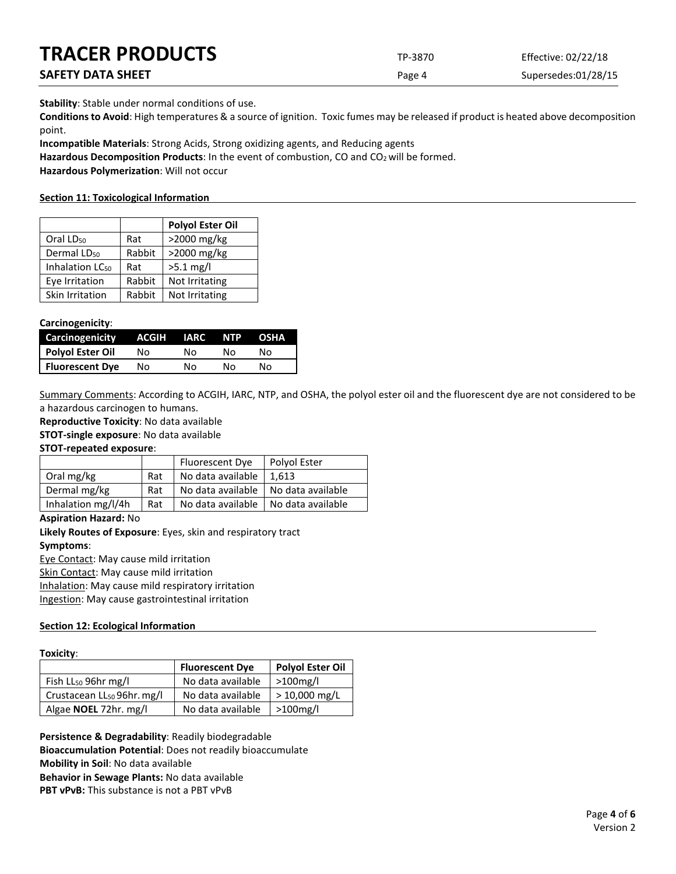| <b>IKALEK PRODUCIS</b>   | TP-3870 | Effective: 02/22/18 |
|--------------------------|---------|---------------------|
| <b>SAFETY DATA SHEET</b> | Page 4  | Supersedes:01/28/15 |

**Stability**: Stable under normal conditions of use.

**Conditions to Avoid**: High temperatures & a source of ignition. Toxic fumes may be released if product is heated above decomposition point.

**Incompatible Materials**: Strong Acids, Strong oxidizing agents, and Reducing agents

Hazardous Decomposition Products: In the event of combustion, CO and CO<sub>2</sub> will be formed.

**Hazardous Polymerization**: Will not occur

## **Section 11: Toxicological Information**

|                             |        | <b>Polyol Ester Oil</b> |
|-----------------------------|--------|-------------------------|
| Oral LD <sub>50</sub>       | Rat    | >2000 mg/kg             |
| Dermal LD <sub>50</sub>     | Rabbit | >2000 mg/kg             |
| Inhalation LC <sub>50</sub> | Rat    | $>5.1$ mg/l             |
| Eye Irritation              | Rabbit | Not Irritating          |
| Skin Irritation             | Rabbit | Not Irritating          |

## **Carcinogenicity**:

| Carcinogenicity        | ACGIH | IARC | NTP. | <b>OSHA</b> |
|------------------------|-------|------|------|-------------|
| Polyol Ester Oil       | Nο    | N٥   | N٥   | N٥          |
| <b>Fluorescent Dye</b> | Nο    | No   | N٥   | Nο          |

Summary Comments: According to ACGIH, IARC, NTP, and OSHA, the polyol ester oil and the fluorescent dye are not considered to be a hazardous carcinogen to humans.

**Reproductive Toxicity**: No data available

**STOT-single exposure**: No data available

## **STOT-repeated exposure**:

|                    |     | Fluorescent Dye   | Polyol Ester      |
|--------------------|-----|-------------------|-------------------|
| Oral mg/kg         | Rat | No data available | 1.613             |
| Dermal mg/kg       | Rat | No data available | No data available |
| Inhalation mg/l/4h | Rat | No data available | No data available |

**Aspiration Hazard:** No

**Likely Routes of Exposure**: Eyes, skin and respiratory tract **Symptoms**:

Eye Contact: May cause mild irritation Skin Contact: May cause mild irritation Inhalation: May cause mild respiratory irritation

Ingestion: May cause gastrointestinal irritation

## **Section 12: Ecological Information**

|                                        | <b>Fluorescent Dye</b> | <b>Polyol Ester Oil</b> |
|----------------------------------------|------------------------|-------------------------|
| Fish LL <sub>50</sub> 96hr mg/l        | No data available      | $>100$ mg/l             |
| Crustacean LL <sub>50</sub> 96hr. mg/l | No data available      | $> 10,000$ mg/L         |
| Algae <b>NOEL</b> 72hr. mg/l           | No data available      | $>100$ mg/l             |

**Persistence & Degradability**: Readily biodegradable **Bioaccumulation Potential**: Does not readily bioaccumulate **Mobility in Soil**: No data available **Behavior in Sewage Plants:** No data available **PBT vPvB:** This substance is not a PBT vPvB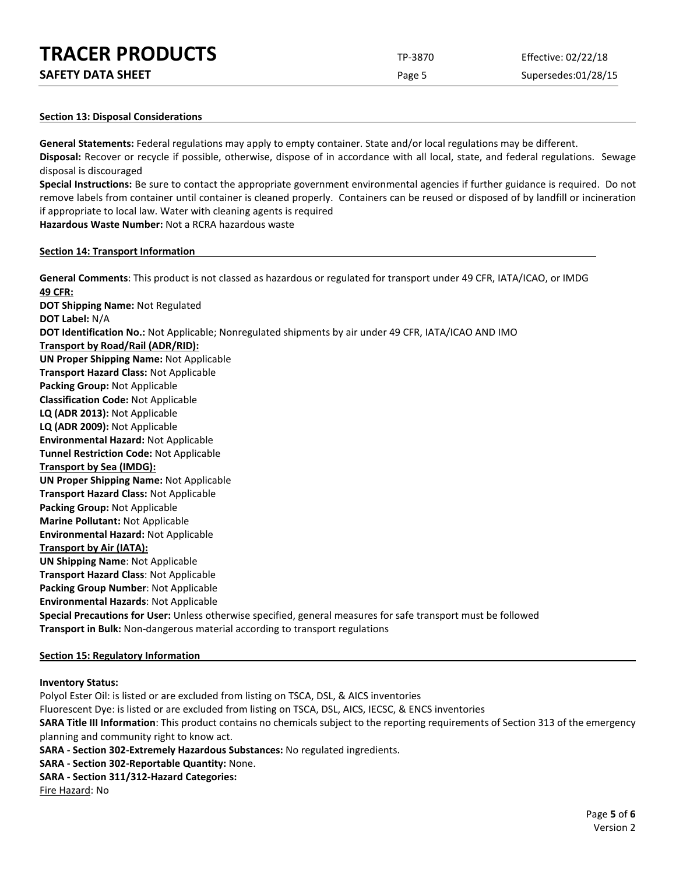| <b>TRACER PRODUCTS</b> | TP-3870 | Effective: 02/22/18 |
|------------------------|---------|---------------------|
|                        |         |                     |

| <b>SAFETY DATA SHEET</b> |
|--------------------------|
|--------------------------|

Page 5 Supersedes:01/28/15

#### **Section 13: Disposal Considerations**

**General Statements:** Federal regulations may apply to empty container. State and/or local regulations may be different. **Disposal:** Recover or recycle if possible, otherwise, dispose of in accordance with all local, state, and federal regulations. Sewage disposal is discouraged

**Special Instructions:** Be sure to contact the appropriate government environmental agencies if further guidance is required. Do not remove labels from container until container is cleaned properly. Containers can be reused or disposed of by landfill or incineration if appropriate to local law. Water with cleaning agents is required

**Hazardous Waste Number:** Not a RCRA hazardous waste

#### **Section 14: Transport Information**

**General Comments**: This product is not classed as hazardous or regulated for transport under 49 CFR, IATA/ICAO, or IMDG **49 CFR: DOT Shipping Name:** Not Regulated **DOT Label:** N/A **DOT Identification No.:** Not Applicable; Nonregulated shipments by air under 49 CFR, IATA/ICAO AND IMO **Transport by Road/Rail (ADR/RID): UN Proper Shipping Name:** Not Applicable **Transport Hazard Class:** Not Applicable **Packing Group:** Not Applicable **Classification Code:** Not Applicable **LQ (ADR 2013):** Not Applicable **LQ (ADR 2009):** Not Applicable **Environmental Hazard:** Not Applicable **Tunnel Restriction Code:** Not Applicable **Transport by Sea (IMDG): UN Proper Shipping Name:** Not Applicable **Transport Hazard Class:** Not Applicable **Packing Group:** Not Applicable **Marine Pollutant:** Not Applicable **Environmental Hazard:** Not Applicable **Transport by Air (IATA): UN Shipping Name**: Not Applicable **Transport Hazard Class**: Not Applicable **Packing Group Number**: Not Applicable **Environmental Hazards**: Not Applicable **Special Precautions for User:** Unless otherwise specified, general measures for safe transport must be followed **Transport in Bulk:** Non-dangerous material according to transport regulations

## **Section 15: Regulatory Information**

#### **Inventory Status:**

Polyol Ester Oil: is listed or are excluded from listing on TSCA, DSL, & AICS inventories

Fluorescent Dye: is listed or are excluded from listing on TSCA, DSL, AICS, IECSC, & ENCS inventories **SARA Title III Information**: This product contains no chemicals subject to the reporting requirements of Section 313 of the emergency planning and community right to know act.

**SARA - Section 302-Extremely Hazardous Substances:** No regulated ingredients.

**SARA - Section 302-Reportable Quantity:** None.

**SARA - Section 311/312-Hazard Categories:**

Fire Hazard: No